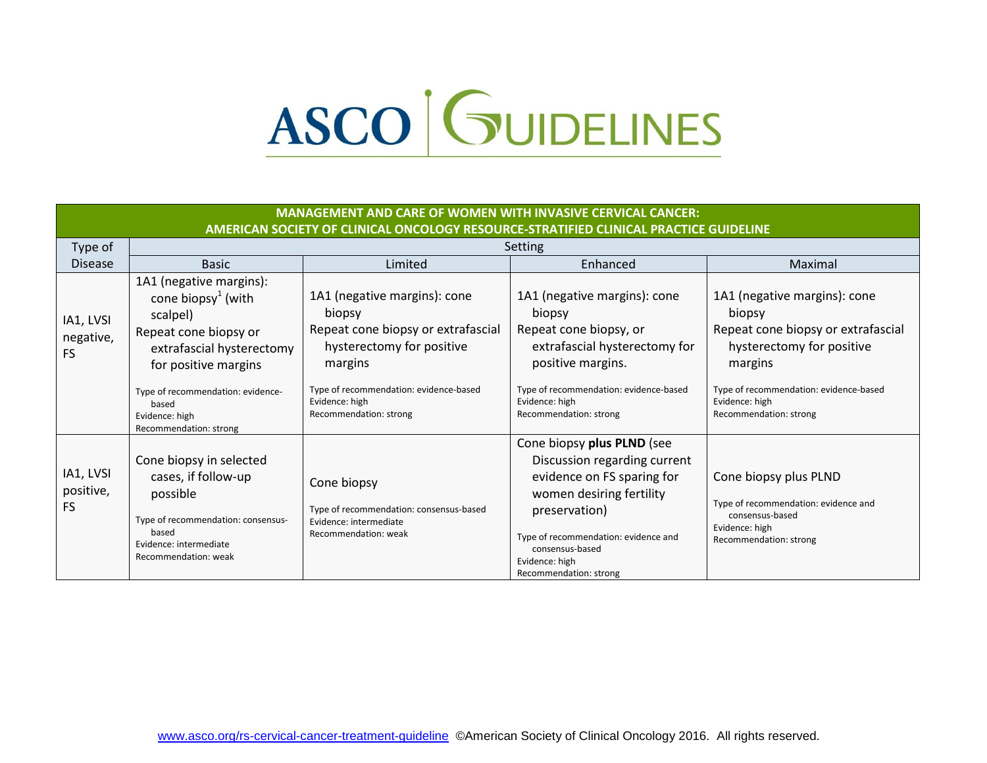## ASCO GUIDELINES

| <b>MANAGEMENT AND CARE OF WOMEN WITH INVASIVE CERVICAL CANCER:</b><br>AMERICAN SOCIETY OF CLINICAL ONCOLOGY RESOURCE-STRATIFIED CLINICAL PRACTICE GUIDELINE |                                                                                                                                                                                                                                               |                                                                                                                                                                                                            |                                                                                                                                                                                                                                              |                                                                                                                                                                                                            |
|-------------------------------------------------------------------------------------------------------------------------------------------------------------|-----------------------------------------------------------------------------------------------------------------------------------------------------------------------------------------------------------------------------------------------|------------------------------------------------------------------------------------------------------------------------------------------------------------------------------------------------------------|----------------------------------------------------------------------------------------------------------------------------------------------------------------------------------------------------------------------------------------------|------------------------------------------------------------------------------------------------------------------------------------------------------------------------------------------------------------|
| Type of                                                                                                                                                     |                                                                                                                                                                                                                                               |                                                                                                                                                                                                            | Setting                                                                                                                                                                                                                                      |                                                                                                                                                                                                            |
| <b>Disease</b>                                                                                                                                              | <b>Basic</b>                                                                                                                                                                                                                                  | Limited                                                                                                                                                                                                    | Enhanced                                                                                                                                                                                                                                     | Maximal                                                                                                                                                                                                    |
| IA1, LVSI<br>negative,<br><b>FS</b>                                                                                                                         | 1A1 (negative margins):<br>cone biopsy <sup>1</sup> (with<br>scalpel)<br>Repeat cone biopsy or<br>extrafascial hysterectomy<br>for positive margins<br>Type of recommendation: evidence-<br>based<br>Evidence: high<br>Recommendation: strong | 1A1 (negative margins): cone<br>biopsy<br>Repeat cone biopsy or extrafascial<br>hysterectomy for positive<br>margins<br>Type of recommendation: evidence-based<br>Evidence: high<br>Recommendation: strong | 1A1 (negative margins): cone<br>biopsy<br>Repeat cone biopsy, or<br>extrafascial hysterectomy for<br>positive margins.<br>Type of recommendation: evidence-based<br>Evidence: high<br>Recommendation: strong                                 | 1A1 (negative margins): cone<br>biopsy<br>Repeat cone biopsy or extrafascial<br>hysterectomy for positive<br>margins<br>Type of recommendation: evidence-based<br>Evidence: high<br>Recommendation: strong |
| IA1, LVSI<br>positive,<br><b>FS</b>                                                                                                                         | Cone biopsy in selected<br>cases, if follow-up<br>possible<br>Type of recommendation: consensus-<br>based<br>Evidence: intermediate<br>Recommendation: weak                                                                                   | Cone biopsy<br>Type of recommendation: consensus-based<br>Evidence: intermediate<br>Recommendation: weak                                                                                                   | Cone biopsy plus PLND (see<br>Discussion regarding current<br>evidence on FS sparing for<br>women desiring fertility<br>preservation)<br>Type of recommendation: evidence and<br>consensus-based<br>Evidence: high<br>Recommendation: strong | Cone biopsy plus PLND<br>Type of recommendation: evidence and<br>consensus-based<br>Evidence: high<br>Recommendation: strong                                                                               |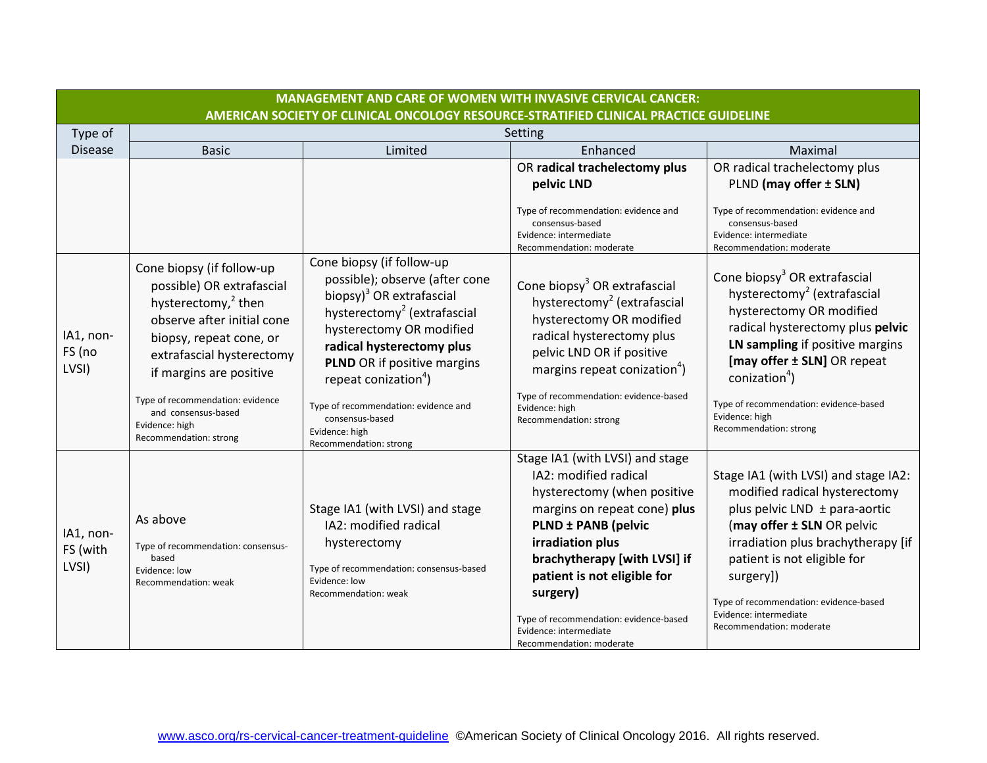|                                | <b>MANAGEMENT AND CARE OF WOMEN WITH INVASIVE CERVICAL CANCER:</b>                                                                                                                                                                                                                      |                                                                                                                                                                                                                                                                                                                                                                |                                                                                                                                                                                                                                                                                                             |                                                                                                                                                                                                                                                                                                                                          |
|--------------------------------|-----------------------------------------------------------------------------------------------------------------------------------------------------------------------------------------------------------------------------------------------------------------------------------------|----------------------------------------------------------------------------------------------------------------------------------------------------------------------------------------------------------------------------------------------------------------------------------------------------------------------------------------------------------------|-------------------------------------------------------------------------------------------------------------------------------------------------------------------------------------------------------------------------------------------------------------------------------------------------------------|------------------------------------------------------------------------------------------------------------------------------------------------------------------------------------------------------------------------------------------------------------------------------------------------------------------------------------------|
|                                |                                                                                                                                                                                                                                                                                         | AMERICAN SOCIETY OF CLINICAL ONCOLOGY RESOURCE-STRATIFIED CLINICAL PRACTICE GUIDELINE                                                                                                                                                                                                                                                                          |                                                                                                                                                                                                                                                                                                             |                                                                                                                                                                                                                                                                                                                                          |
| Type of                        |                                                                                                                                                                                                                                                                                         |                                                                                                                                                                                                                                                                                                                                                                | Setting                                                                                                                                                                                                                                                                                                     |                                                                                                                                                                                                                                                                                                                                          |
| <b>Disease</b>                 | <b>Basic</b>                                                                                                                                                                                                                                                                            | Limited                                                                                                                                                                                                                                                                                                                                                        | Enhanced                                                                                                                                                                                                                                                                                                    | Maximal                                                                                                                                                                                                                                                                                                                                  |
|                                |                                                                                                                                                                                                                                                                                         |                                                                                                                                                                                                                                                                                                                                                                | OR radical trachelectomy plus<br>pelvic LND                                                                                                                                                                                                                                                                 | OR radical trachelectomy plus<br>PLND (may offer ± SLN)                                                                                                                                                                                                                                                                                  |
|                                |                                                                                                                                                                                                                                                                                         |                                                                                                                                                                                                                                                                                                                                                                | Type of recommendation: evidence and<br>consensus-based<br>Evidence: intermediate<br>Recommendation: moderate                                                                                                                                                                                               | Type of recommendation: evidence and<br>consensus-based<br>Evidence: intermediate<br>Recommendation: moderate                                                                                                                                                                                                                            |
| IA1, non-<br>FS (no<br>LVSI)   | Cone biopsy (if follow-up<br>possible) OR extrafascial<br>hysterectomy, <sup>2</sup> then<br>observe after initial cone<br>biopsy, repeat cone, or<br>extrafascial hysterectomy<br>if margins are positive<br>Type of recommendation: evidence<br>and consensus-based<br>Evidence: high | Cone biopsy (if follow-up<br>possible); observe (after cone<br>biopsy) <sup>3</sup> OR extrafascial<br>hysterectomy <sup>2</sup> (extrafascial<br>hysterectomy OR modified<br>radical hysterectomy plus<br><b>PLND</b> OR if positive margins<br>repeat conization <sup>4</sup> )<br>Type of recommendation: evidence and<br>consensus-based<br>Evidence: high | Cone biopsy <sup>3</sup> OR extrafascial<br>hysterectomy <sup>2</sup> (extrafascial<br>hysterectomy OR modified<br>radical hysterectomy plus<br>pelvic LND OR if positive<br>margins repeat conization <sup>4</sup> )<br>Type of recommendation: evidence-based<br>Evidence: high<br>Recommendation: strong | Cone biopsy <sup>3</sup> OR extrafascial<br>hysterectomy <sup>2</sup> (extrafascial<br>hysterectomy OR modified<br>radical hysterectomy plus pelvic<br>LN sampling if positive margins<br>[may offer ± SLN] OR repeat<br>conization <sup>4</sup> )<br>Type of recommendation: evidence-based<br>Evidence: high<br>Recommendation: strong |
|                                | Recommendation: strong                                                                                                                                                                                                                                                                  | Recommendation: strong<br>Stage IA1 (with LVSI) and stage                                                                                                                                                                                                                                                                                                      | Stage IA1 (with LVSI) and stage<br>IA2: modified radical<br>hysterectomy (when positive<br>margins on repeat cone) plus                                                                                                                                                                                     | Stage IA1 (with LVSI) and stage IA2:<br>modified radical hysterectomy<br>plus pelvic LND ± para-aortic                                                                                                                                                                                                                                   |
| IA1, non-<br>FS (with<br>LVSI) | As above<br>Type of recommendation: consensus-<br>based<br>Evidence: low<br>Recommendation: weak                                                                                                                                                                                        | IA2: modified radical<br>hysterectomy<br>Type of recommendation: consensus-based<br>Evidence: low<br>Recommendation: weak                                                                                                                                                                                                                                      | <b>PLND ± PANB (pelvic</b><br>irradiation plus<br>brachytherapy [with LVSI] if<br>patient is not eligible for<br>surgery)<br>Type of recommendation: evidence-based<br>Evidence: intermediate<br>Recommendation: moderate                                                                                   | (may offer ± SLN OR pelvic<br>irradiation plus brachytherapy [if<br>patient is not eligible for<br>surgery])<br>Type of recommendation: evidence-based<br>Evidence: intermediate<br>Recommendation: moderate                                                                                                                             |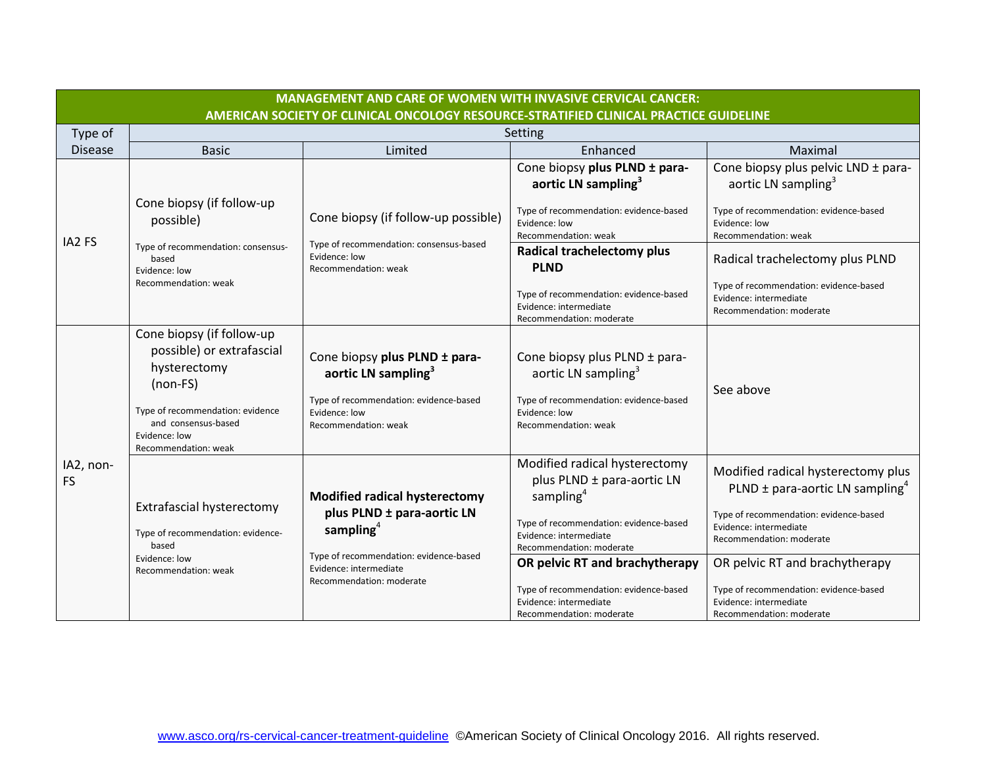| <b>MANAGEMENT AND CARE OF WOMEN WITH INVASIVE CERVICAL CANCER:</b> |                                                                                                                                                                                          |                                                                                                                                                        |                                                                                                                                                                                                                        |                                                                                                                                                                                                                         |  |
|--------------------------------------------------------------------|------------------------------------------------------------------------------------------------------------------------------------------------------------------------------------------|--------------------------------------------------------------------------------------------------------------------------------------------------------|------------------------------------------------------------------------------------------------------------------------------------------------------------------------------------------------------------------------|-------------------------------------------------------------------------------------------------------------------------------------------------------------------------------------------------------------------------|--|
|                                                                    | AMERICAN SOCIETY OF CLINICAL ONCOLOGY RESOURCE-STRATIFIED CLINICAL PRACTICE GUIDELINE                                                                                                    |                                                                                                                                                        |                                                                                                                                                                                                                        |                                                                                                                                                                                                                         |  |
| Type of                                                            | Setting                                                                                                                                                                                  |                                                                                                                                                        |                                                                                                                                                                                                                        |                                                                                                                                                                                                                         |  |
| <b>Disease</b>                                                     | <b>Basic</b>                                                                                                                                                                             | Limited                                                                                                                                                | Enhanced                                                                                                                                                                                                               | Maximal                                                                                                                                                                                                                 |  |
|                                                                    |                                                                                                                                                                                          |                                                                                                                                                        | Cone biopsy plus PLND ± para-<br>aortic LN sampling <sup>3</sup>                                                                                                                                                       | Cone biopsy plus pelvic LND ± para-<br>aortic LN sampling <sup>3</sup>                                                                                                                                                  |  |
|                                                                    | Cone biopsy (if follow-up<br>possible)                                                                                                                                                   | Cone biopsy (if follow-up possible)                                                                                                                    | Type of recommendation: evidence-based<br>Evidence: low<br>Recommendation: weak                                                                                                                                        | Type of recommendation: evidence-based<br>Evidence: low<br>Recommendation: weak                                                                                                                                         |  |
| IA2 FS                                                             | Type of recommendation: consensus-<br>based<br>Evidence: low                                                                                                                             | Type of recommendation: consensus-based<br>Evidence: low<br>Recommendation: weak                                                                       | <b>Radical trachelectomy plus</b><br><b>PLND</b>                                                                                                                                                                       | Radical trachelectomy plus PLND                                                                                                                                                                                         |  |
|                                                                    | Recommendation: weak                                                                                                                                                                     |                                                                                                                                                        | Type of recommendation: evidence-based<br>Evidence: intermediate<br>Recommendation: moderate                                                                                                                           | Type of recommendation: evidence-based<br>Evidence: intermediate<br>Recommendation: moderate                                                                                                                            |  |
|                                                                    | Cone biopsy (if follow-up<br>possible) or extrafascial<br>hysterectomy<br>$(non-FS)$<br>Type of recommendation: evidence<br>and consensus-based<br>Evidence: low<br>Recommendation: weak | Cone biopsy plus PLND ± para-<br>aortic LN sampling <sup>3</sup><br>Type of recommendation: evidence-based<br>Evidence: low<br>Recommendation: weak    | Cone biopsy plus PLND ± para-<br>aortic LN sampling <sup>3</sup><br>Type of recommendation: evidence-based<br>Evidence: low<br>Recommendation: weak                                                                    | See above                                                                                                                                                                                                               |  |
| IA2, non-<br><b>FS</b>                                             | Extrafascial hysterectomy<br>Type of recommendation: evidence-<br>based<br>Evidence: low                                                                                                 | <b>Modified radical hysterectomy</b><br>plus PLND ± para-aortic LN<br>sampling $4$<br>Type of recommendation: evidence-based<br>Evidence: intermediate | Modified radical hysterectomy<br>plus PLND ± para-aortic LN<br>sampling <sup>4</sup><br>Type of recommendation: evidence-based<br>Evidence: intermediate<br>Recommendation: moderate<br>OR pelvic RT and brachytherapy | Modified radical hysterectomy plus<br>PLND $\pm$ para-aortic LN sampling <sup>4</sup><br>Type of recommendation: evidence-based<br>Evidence: intermediate<br>Recommendation: moderate<br>OR pelvic RT and brachytherapy |  |
|                                                                    | Recommendation: weak                                                                                                                                                                     | Recommendation: moderate                                                                                                                               | Type of recommendation: evidence-based<br>Evidence: intermediate<br>Recommendation: moderate                                                                                                                           | Type of recommendation: evidence-based<br>Evidence: intermediate<br>Recommendation: moderate                                                                                                                            |  |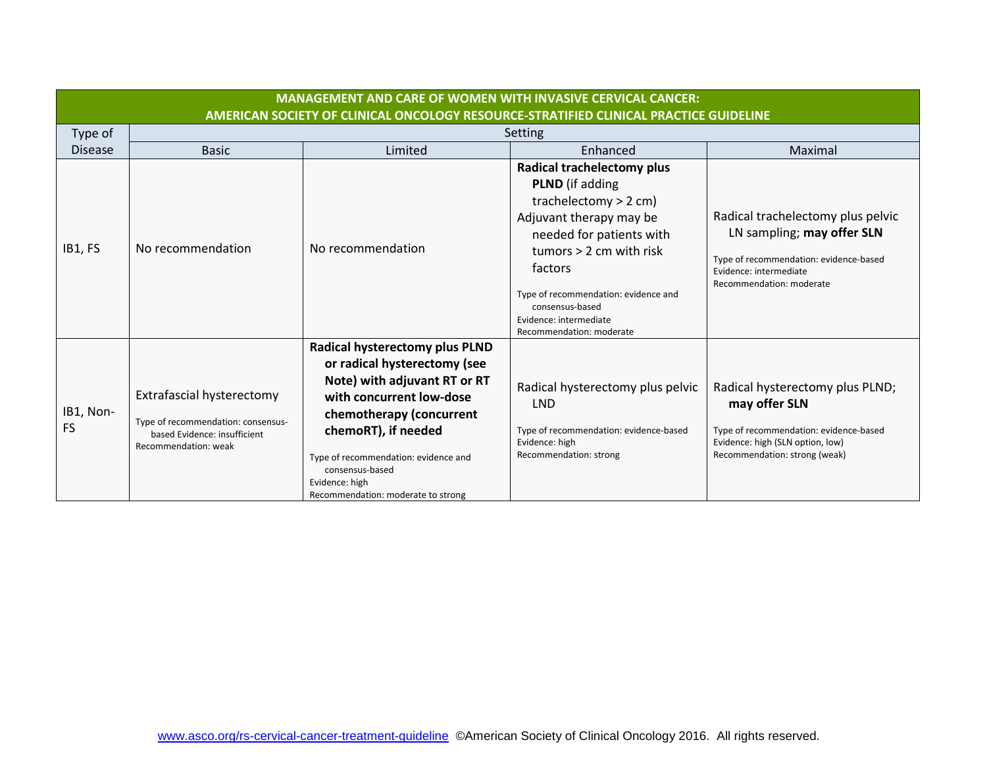|                        | <b>MANAGEMENT AND CARE OF WOMEN WITH INVASIVE CERVICAL CANCER:</b><br>AMERICAN SOCIETY OF CLINICAL ONCOLOGY RESOURCE-STRATIFIED CLINICAL PRACTICE GUIDELINE |                                                                                                                                                                                                                                                                                                  |                                                                                                                                                                                                                                                                                                        |                                                                                                                                                                 |  |  |
|------------------------|-------------------------------------------------------------------------------------------------------------------------------------------------------------|--------------------------------------------------------------------------------------------------------------------------------------------------------------------------------------------------------------------------------------------------------------------------------------------------|--------------------------------------------------------------------------------------------------------------------------------------------------------------------------------------------------------------------------------------------------------------------------------------------------------|-----------------------------------------------------------------------------------------------------------------------------------------------------------------|--|--|
| Type of                |                                                                                                                                                             | Setting                                                                                                                                                                                                                                                                                          |                                                                                                                                                                                                                                                                                                        |                                                                                                                                                                 |  |  |
| <b>Disease</b>         | <b>Basic</b>                                                                                                                                                | Limited                                                                                                                                                                                                                                                                                          | Enhanced                                                                                                                                                                                                                                                                                               | Maximal                                                                                                                                                         |  |  |
| IB1, FS                | No recommendation                                                                                                                                           | No recommendation                                                                                                                                                                                                                                                                                | <b>Radical trachelectomy plus</b><br><b>PLND</b> (if adding<br>trachelectomy $> 2$ cm)<br>Adjuvant therapy may be<br>needed for patients with<br>tumors $> 2$ cm with risk<br>factors<br>Type of recommendation: evidence and<br>consensus-based<br>Evidence: intermediate<br>Recommendation: moderate | Radical trachelectomy plus pelvic<br>LN sampling; may offer SLN<br>Type of recommendation: evidence-based<br>Evidence: intermediate<br>Recommendation: moderate |  |  |
| IB1, Non-<br><b>FS</b> | Extrafascial hysterectomy<br>Type of recommendation: consensus-<br>based Evidence: insufficient<br>Recommendation: weak                                     | Radical hysterectomy plus PLND<br>or radical hysterectomy (see<br>Note) with adjuvant RT or RT<br>with concurrent low-dose<br>chemotherapy (concurrent<br>chemoRT), if needed<br>Type of recommendation: evidence and<br>consensus-based<br>Evidence: high<br>Recommendation: moderate to strong | Radical hysterectomy plus pelvic<br><b>LND</b><br>Type of recommendation: evidence-based<br>Evidence: high<br>Recommendation: strong                                                                                                                                                                   | Radical hysterectomy plus PLND;<br>may offer SLN<br>Type of recommendation: evidence-based<br>Evidence: high (SLN option, low)<br>Recommendation: strong (weak) |  |  |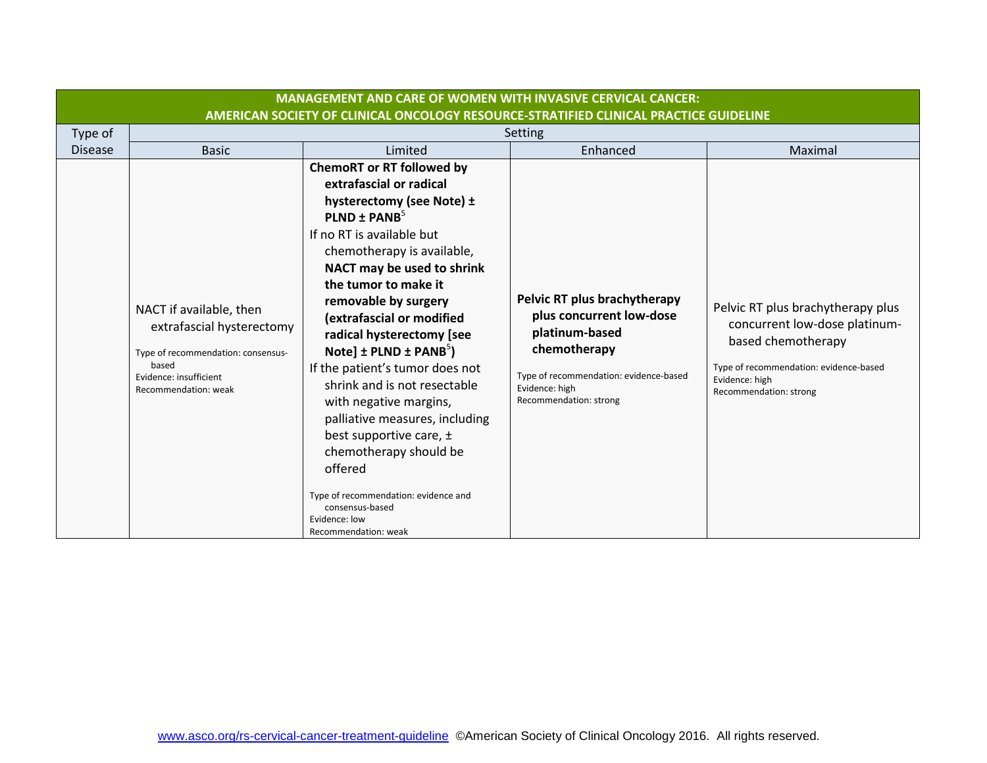|                                                                                       |                                                                                                                                                       | <b>MANAGEMENT AND CARE OF WOMEN WITH INVASIVE CERVICAL CANCER:</b>                                                                                                                                                                                                                                                                                                                                                                                                                                                                                                                                                                                                  |                                                                                                                                                                                  |                                                                                                                                                                                |  |
|---------------------------------------------------------------------------------------|-------------------------------------------------------------------------------------------------------------------------------------------------------|---------------------------------------------------------------------------------------------------------------------------------------------------------------------------------------------------------------------------------------------------------------------------------------------------------------------------------------------------------------------------------------------------------------------------------------------------------------------------------------------------------------------------------------------------------------------------------------------------------------------------------------------------------------------|----------------------------------------------------------------------------------------------------------------------------------------------------------------------------------|--------------------------------------------------------------------------------------------------------------------------------------------------------------------------------|--|
| AMERICAN SOCIETY OF CLINICAL ONCOLOGY RESOURCE-STRATIFIED CLINICAL PRACTICE GUIDELINE |                                                                                                                                                       |                                                                                                                                                                                                                                                                                                                                                                                                                                                                                                                                                                                                                                                                     |                                                                                                                                                                                  |                                                                                                                                                                                |  |
| Type of                                                                               | <b>Setting</b>                                                                                                                                        |                                                                                                                                                                                                                                                                                                                                                                                                                                                                                                                                                                                                                                                                     |                                                                                                                                                                                  |                                                                                                                                                                                |  |
| <b>Disease</b>                                                                        | <b>Basic</b>                                                                                                                                          | Limited                                                                                                                                                                                                                                                                                                                                                                                                                                                                                                                                                                                                                                                             | Enhanced                                                                                                                                                                         | Maximal                                                                                                                                                                        |  |
|                                                                                       | NACT if available, then<br>extrafascial hysterectomy<br>Type of recommendation: consensus-<br>based<br>Evidence: insufficient<br>Recommendation: weak | <b>ChemoRT or RT followed by</b><br>extrafascial or radical<br>hysterectomy (see Note) ±<br>PLND ± PANB $5$<br>If no RT is available but<br>chemotherapy is available,<br>NACT may be used to shrink<br>the tumor to make it<br>removable by surgery<br>(extrafascial or modified<br>radical hysterectomy [see<br>Note] $\pm$ PLND $\pm$ PANB <sup>5</sup> )<br>If the patient's tumor does not<br>shrink and is not resectable<br>with negative margins,<br>palliative measures, including<br>best supportive care, $\pm$<br>chemotherapy should be<br>offered<br>Type of recommendation: evidence and<br>consensus-based<br>Evidence: low<br>Recommendation: weak | Pelvic RT plus brachytherapy<br>plus concurrent low-dose<br>platinum-based<br>chemotherapy<br>Type of recommendation: evidence-based<br>Evidence: high<br>Recommendation: strong | Pelvic RT plus brachytherapy plus<br>concurrent low-dose platinum-<br>based chemotherapy<br>Type of recommendation: evidence-based<br>Evidence: high<br>Recommendation: strong |  |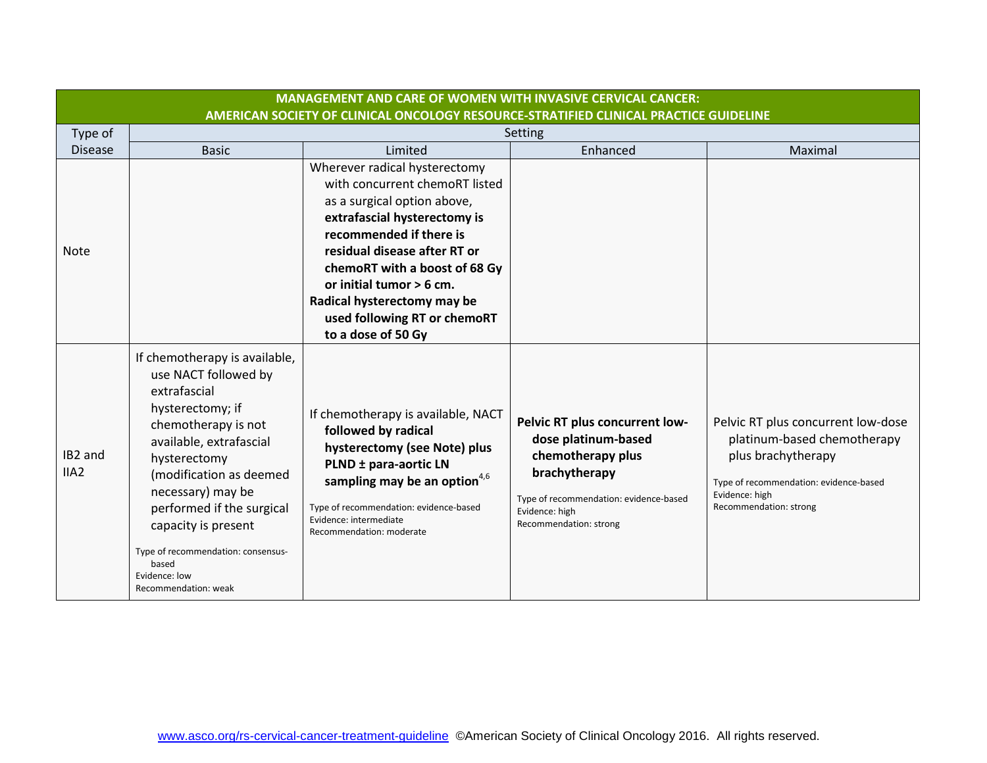|                             | <b>MANAGEMENT AND CARE OF WOMEN WITH INVASIVE CERVICAL CANCER:</b>                                                                                                                                                                                                                                                                                      |                                                                                                                                                                                                                                                                                                                                             |                                                                                                                                                                                   |                                                                                                                                                                               |  |  |
|-----------------------------|---------------------------------------------------------------------------------------------------------------------------------------------------------------------------------------------------------------------------------------------------------------------------------------------------------------------------------------------------------|---------------------------------------------------------------------------------------------------------------------------------------------------------------------------------------------------------------------------------------------------------------------------------------------------------------------------------------------|-----------------------------------------------------------------------------------------------------------------------------------------------------------------------------------|-------------------------------------------------------------------------------------------------------------------------------------------------------------------------------|--|--|
|                             | AMERICAN SOCIETY OF CLINICAL ONCOLOGY RESOURCE-STRATIFIED CLINICAL PRACTICE GUIDELINE                                                                                                                                                                                                                                                                   |                                                                                                                                                                                                                                                                                                                                             |                                                                                                                                                                                   |                                                                                                                                                                               |  |  |
| Type of                     | Setting                                                                                                                                                                                                                                                                                                                                                 |                                                                                                                                                                                                                                                                                                                                             |                                                                                                                                                                                   |                                                                                                                                                                               |  |  |
| <b>Disease</b>              | <b>Basic</b>                                                                                                                                                                                                                                                                                                                                            | Limited                                                                                                                                                                                                                                                                                                                                     | Enhanced                                                                                                                                                                          | Maximal                                                                                                                                                                       |  |  |
| <b>Note</b>                 |                                                                                                                                                                                                                                                                                                                                                         | Wherever radical hysterectomy<br>with concurrent chemoRT listed<br>as a surgical option above,<br>extrafascial hysterectomy is<br>recommended if there is<br>residual disease after RT or<br>chemoRT with a boost of 68 Gy<br>or initial tumor > 6 cm.<br>Radical hysterectomy may be<br>used following RT or chemoRT<br>to a dose of 50 Gy |                                                                                                                                                                                   |                                                                                                                                                                               |  |  |
| IB2 and<br>IIA <sub>2</sub> | If chemotherapy is available,<br>use NACT followed by<br>extrafascial<br>hysterectomy; if<br>chemotherapy is not<br>available, extrafascial<br>hysterectomy<br>(modification as deemed<br>necessary) may be<br>performed if the surgical<br>capacity is present<br>Type of recommendation: consensus-<br>based<br>Evidence: low<br>Recommendation: weak | If chemotherapy is available, NACT<br>followed by radical<br>hysterectomy (see Note) plus<br>PLND ± para-aortic LN<br>sampling may be an option <sup>4,6</sup><br>Type of recommendation: evidence-based<br>Evidence: intermediate<br>Recommendation: moderate                                                                              | Pelvic RT plus concurrent low-<br>dose platinum-based<br>chemotherapy plus<br>brachytherapy<br>Type of recommendation: evidence-based<br>Evidence: high<br>Recommendation: strong | Pelvic RT plus concurrent low-dose<br>platinum-based chemotherapy<br>plus brachytherapy<br>Type of recommendation: evidence-based<br>Evidence: high<br>Recommendation: strong |  |  |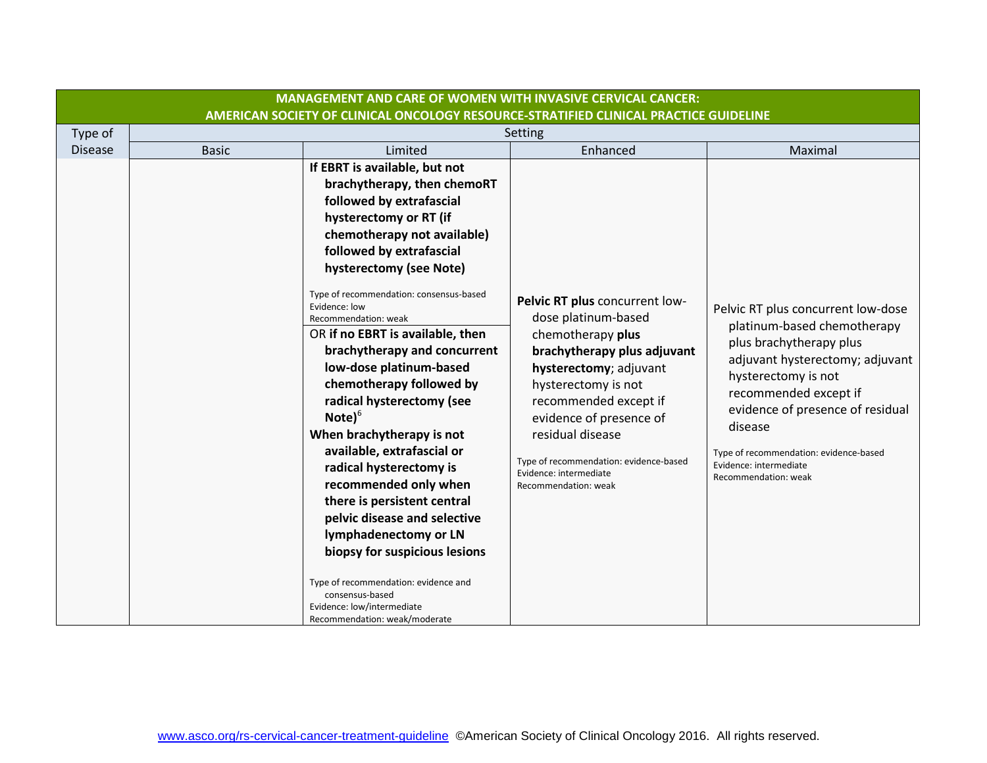|                |                                                                                       | <b>MANAGEMENT AND CARE OF WOMEN WITH INVASIVE CERVICAL CANCER:</b>                                                                                                                                                                                                                                                                                                                                                                                                                                                                                                                                                                                                                                                                                                                                                                                      |                                                                                                                                                                                                                                                                                                                                |                                                                                                                                                                                                                                                                                                                            |  |  |
|----------------|---------------------------------------------------------------------------------------|---------------------------------------------------------------------------------------------------------------------------------------------------------------------------------------------------------------------------------------------------------------------------------------------------------------------------------------------------------------------------------------------------------------------------------------------------------------------------------------------------------------------------------------------------------------------------------------------------------------------------------------------------------------------------------------------------------------------------------------------------------------------------------------------------------------------------------------------------------|--------------------------------------------------------------------------------------------------------------------------------------------------------------------------------------------------------------------------------------------------------------------------------------------------------------------------------|----------------------------------------------------------------------------------------------------------------------------------------------------------------------------------------------------------------------------------------------------------------------------------------------------------------------------|--|--|
|                | AMERICAN SOCIETY OF CLINICAL ONCOLOGY RESOURCE-STRATIFIED CLINICAL PRACTICE GUIDELINE |                                                                                                                                                                                                                                                                                                                                                                                                                                                                                                                                                                                                                                                                                                                                                                                                                                                         |                                                                                                                                                                                                                                                                                                                                |                                                                                                                                                                                                                                                                                                                            |  |  |
| Type of        |                                                                                       |                                                                                                                                                                                                                                                                                                                                                                                                                                                                                                                                                                                                                                                                                                                                                                                                                                                         | Setting                                                                                                                                                                                                                                                                                                                        |                                                                                                                                                                                                                                                                                                                            |  |  |
| <b>Disease</b> | <b>Basic</b>                                                                          | Limited                                                                                                                                                                                                                                                                                                                                                                                                                                                                                                                                                                                                                                                                                                                                                                                                                                                 | Enhanced                                                                                                                                                                                                                                                                                                                       | Maximal                                                                                                                                                                                                                                                                                                                    |  |  |
|                |                                                                                       | If EBRT is available, but not<br>brachytherapy, then chemoRT<br>followed by extrafascial<br>hysterectomy or RT (if<br>chemotherapy not available)<br>followed by extrafascial<br>hysterectomy (see Note)<br>Type of recommendation: consensus-based<br>Evidence: low<br>Recommendation: weak<br>OR if no EBRT is available, then<br>brachytherapy and concurrent<br>low-dose platinum-based<br>chemotherapy followed by<br>radical hysterectomy (see<br>$\textsf{Note}\$ <sup>6</sup><br>When brachytherapy is not<br>available, extrafascial or<br>radical hysterectomy is<br>recommended only when<br>there is persistent central<br>pelvic disease and selective<br>lymphadenectomy or LN<br>biopsy for suspicious lesions<br>Type of recommendation: evidence and<br>consensus-based<br>Evidence: low/intermediate<br>Recommendation: weak/moderate | Pelvic RT plus concurrent low-<br>dose platinum-based<br>chemotherapy plus<br>brachytherapy plus adjuvant<br>hysterectomy; adjuvant<br>hysterectomy is not<br>recommended except if<br>evidence of presence of<br>residual disease<br>Type of recommendation: evidence-based<br>Evidence: intermediate<br>Recommendation: weak | Pelvic RT plus concurrent low-dose<br>platinum-based chemotherapy<br>plus brachytherapy plus<br>adjuvant hysterectomy; adjuvant<br>hysterectomy is not<br>recommended except if<br>evidence of presence of residual<br>disease<br>Type of recommendation: evidence-based<br>Evidence: intermediate<br>Recommendation: weak |  |  |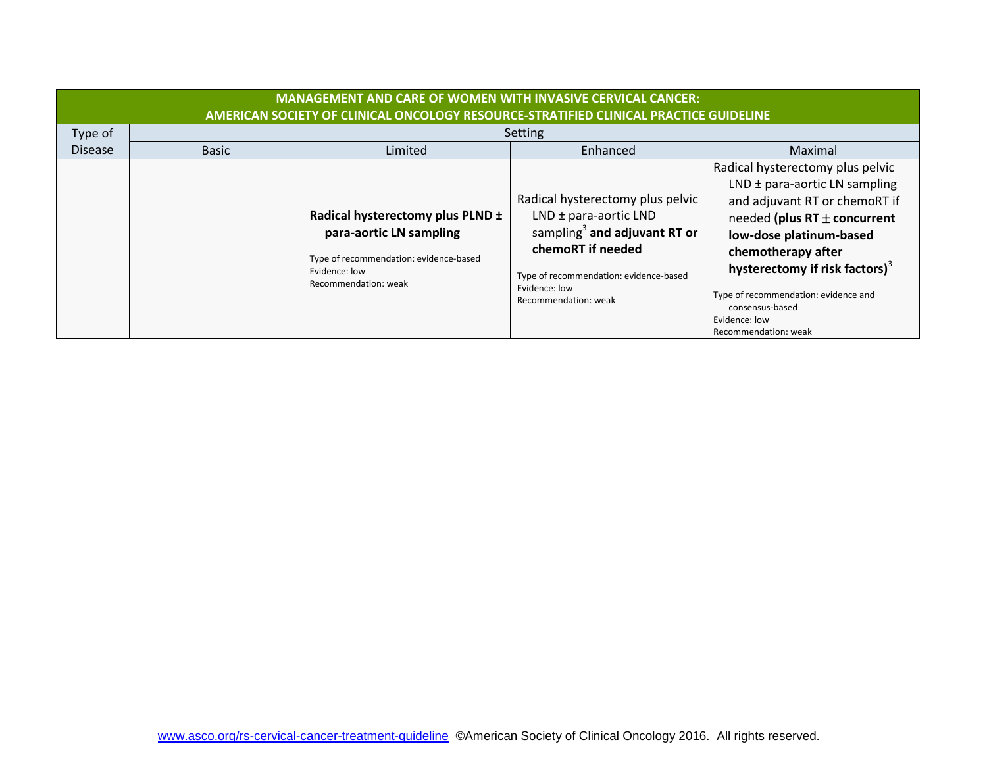|                | <b>MANAGEMENT AND CARE OF WOMEN WITH INVASIVE CERVICAL CANCER:</b><br>AMERICAN SOCIETY OF CLINICAL ONCOLOGY RESOURCE-STRATIFIED CLINICAL PRACTICE GUIDELINE |                                                                                                                                                |                                                                                                                                                                                                                   |                                                                                                                                                                                                                                                                                                                                               |  |
|----------------|-------------------------------------------------------------------------------------------------------------------------------------------------------------|------------------------------------------------------------------------------------------------------------------------------------------------|-------------------------------------------------------------------------------------------------------------------------------------------------------------------------------------------------------------------|-----------------------------------------------------------------------------------------------------------------------------------------------------------------------------------------------------------------------------------------------------------------------------------------------------------------------------------------------|--|
| Type of        |                                                                                                                                                             |                                                                                                                                                | Setting                                                                                                                                                                                                           |                                                                                                                                                                                                                                                                                                                                               |  |
| <b>Disease</b> | <b>Basic</b>                                                                                                                                                | Limited                                                                                                                                        | Enhanced                                                                                                                                                                                                          | Maximal                                                                                                                                                                                                                                                                                                                                       |  |
|                |                                                                                                                                                             | Radical hysterectomy plus PLND ±<br>para-aortic LN sampling<br>Type of recommendation: evidence-based<br>Evidence: low<br>Recommendation: weak | Radical hysterectomy plus pelvic<br>$LND \pm para-aortic LND$<br>sampling <sup>3</sup> and adjuvant RT or<br>chemoRT if needed<br>Type of recommendation: evidence-based<br>Evidence: low<br>Recommendation: weak | Radical hysterectomy plus pelvic<br>LND $\pm$ para-aortic LN sampling<br>and adjuvant RT or chemoRT if<br>needed (plus $RT \pm$ concurrent<br>low-dose platinum-based<br>chemotherapy after<br>hysterectomy if risk factors) <sup>3</sup><br>Type of recommendation: evidence and<br>consensus-based<br>Evidence: low<br>Recommendation: weak |  |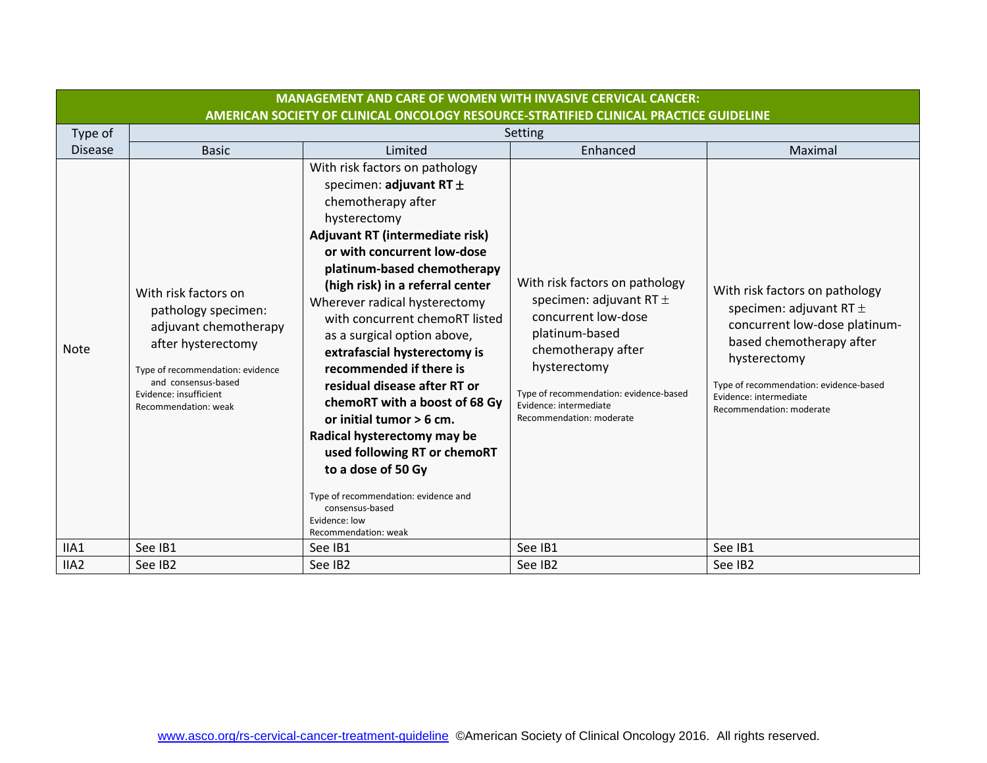| AMERICAN SOCIETY OF CLINICAL ONCOLOGY RESOURCE-STRATIFIED CLINICAL PRACTICE GUIDELINE<br>Type of<br>Setting<br><b>Disease</b><br>Limited<br>Enhanced<br><b>Basic</b><br>Maximal<br>With risk factors on pathology<br>specimen: adjuvant RT $\pm$<br>chemotherapy after<br>hysterectomy<br>Adjuvant RT (intermediate risk)<br>or with concurrent low-dose<br>platinum-based chemotherapy<br>With risk factors on pathology<br>(high risk) in a referral center<br>With risk factors on pathology<br>With risk factors on<br>specimen: adjuvant RT $\pm$<br>Wherever radical hysterectomy<br>specimen: adjuvant RT $\pm$<br>pathology specimen:<br>concurrent low-dose<br>with concurrent chemoRT listed<br>adjuvant chemotherapy<br>platinum-based<br>as a surgical option above,<br>based chemotherapy after<br>after hysterectomy<br><b>Note</b><br>chemotherapy after<br>extrafascial hysterectomy is<br>hysterectomy<br>hysterectomy<br>recommended if there is<br>Type of recommendation: evidence<br>and consensus-based<br>residual disease after RT or<br>Type of recommendation: evidence-based<br>Type of recommendation: evidence-based<br>Evidence: insufficient<br>Evidence: intermediate<br>chemoRT with a boost of 68 Gy<br>Evidence: intermediate<br>Recommendation: weak<br>Recommendation: moderate<br>Recommendation: moderate<br>or initial tumor > 6 cm. | <b>MANAGEMENT AND CARE OF WOMEN WITH INVASIVE CERVICAL CANCER:</b> |                             |  |                               |  |  |
|------------------------------------------------------------------------------------------------------------------------------------------------------------------------------------------------------------------------------------------------------------------------------------------------------------------------------------------------------------------------------------------------------------------------------------------------------------------------------------------------------------------------------------------------------------------------------------------------------------------------------------------------------------------------------------------------------------------------------------------------------------------------------------------------------------------------------------------------------------------------------------------------------------------------------------------------------------------------------------------------------------------------------------------------------------------------------------------------------------------------------------------------------------------------------------------------------------------------------------------------------------------------------------------------------------------------------------------------------------------------------|--------------------------------------------------------------------|-----------------------------|--|-------------------------------|--|--|
|                                                                                                                                                                                                                                                                                                                                                                                                                                                                                                                                                                                                                                                                                                                                                                                                                                                                                                                                                                                                                                                                                                                                                                                                                                                                                                                                                                              |                                                                    |                             |  |                               |  |  |
|                                                                                                                                                                                                                                                                                                                                                                                                                                                                                                                                                                                                                                                                                                                                                                                                                                                                                                                                                                                                                                                                                                                                                                                                                                                                                                                                                                              |                                                                    |                             |  |                               |  |  |
|                                                                                                                                                                                                                                                                                                                                                                                                                                                                                                                                                                                                                                                                                                                                                                                                                                                                                                                                                                                                                                                                                                                                                                                                                                                                                                                                                                              |                                                                    |                             |  |                               |  |  |
| used following RT or chemoRT<br>to a dose of 50 Gy<br>Type of recommendation: evidence and<br>consensus-based<br>Evidence: low<br>Recommendation: weak<br>IIA1<br>See IB1<br>See IB1<br>See IB1                                                                                                                                                                                                                                                                                                                                                                                                                                                                                                                                                                                                                                                                                                                                                                                                                                                                                                                                                                                                                                                                                                                                                                              |                                                                    | Radical hysterectomy may be |  | concurrent low-dose platinum- |  |  |
| See IB1<br>IIA <sub>2</sub><br>See IB2<br>See IB2<br>See IB2<br>See IB2                                                                                                                                                                                                                                                                                                                                                                                                                                                                                                                                                                                                                                                                                                                                                                                                                                                                                                                                                                                                                                                                                                                                                                                                                                                                                                      |                                                                    |                             |  |                               |  |  |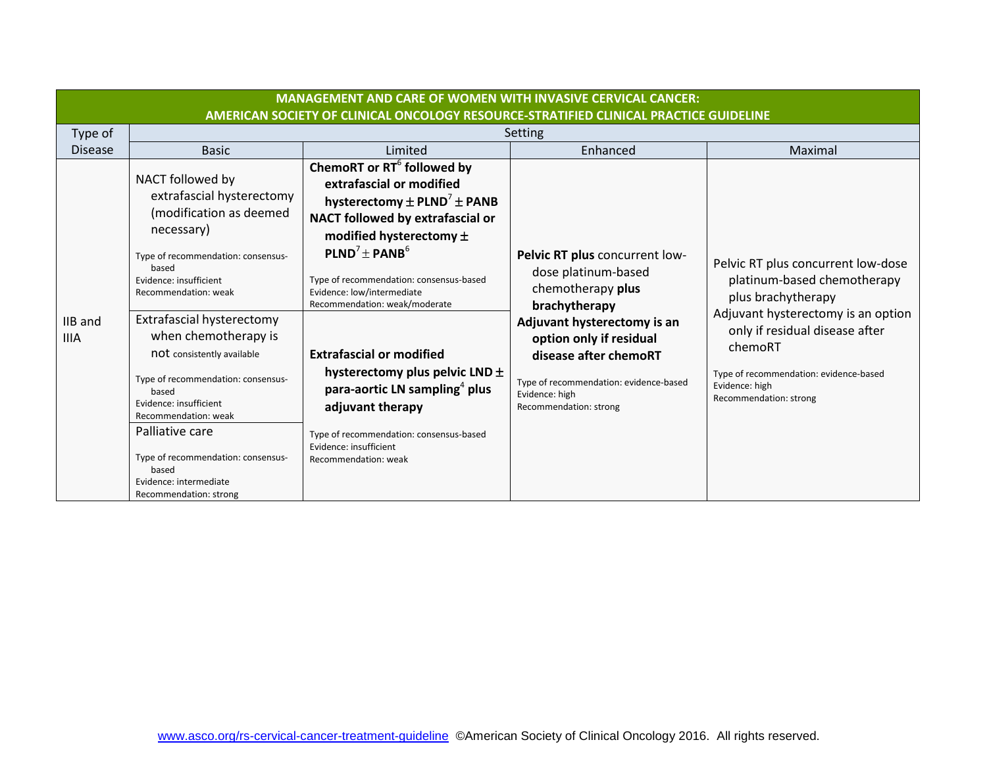| <b>MANAGEMENT AND CARE OF WOMEN WITH INVASIVE CERVICAL CANCER:</b><br>AMERICAN SOCIETY OF CLINICAL ONCOLOGY RESOURCE-STRATIFIED CLINICAL PRACTICE GUIDELINE |                                                                                                                                                                                                                                                                                                                                                                                                                                                                                                   |                                                                                                                                                                                                                                                                                                                                                                                                                                                                                                                                                                                |                                                                                                                                                                                                                                                                      |                                                                                                                                                                                                                                                                  |
|-------------------------------------------------------------------------------------------------------------------------------------------------------------|---------------------------------------------------------------------------------------------------------------------------------------------------------------------------------------------------------------------------------------------------------------------------------------------------------------------------------------------------------------------------------------------------------------------------------------------------------------------------------------------------|--------------------------------------------------------------------------------------------------------------------------------------------------------------------------------------------------------------------------------------------------------------------------------------------------------------------------------------------------------------------------------------------------------------------------------------------------------------------------------------------------------------------------------------------------------------------------------|----------------------------------------------------------------------------------------------------------------------------------------------------------------------------------------------------------------------------------------------------------------------|------------------------------------------------------------------------------------------------------------------------------------------------------------------------------------------------------------------------------------------------------------------|
| Type of                                                                                                                                                     |                                                                                                                                                                                                                                                                                                                                                                                                                                                                                                   |                                                                                                                                                                                                                                                                                                                                                                                                                                                                                                                                                                                | Setting                                                                                                                                                                                                                                                              |                                                                                                                                                                                                                                                                  |
| <b>Disease</b>                                                                                                                                              | <b>Basic</b>                                                                                                                                                                                                                                                                                                                                                                                                                                                                                      | Limited                                                                                                                                                                                                                                                                                                                                                                                                                                                                                                                                                                        | Enhanced                                                                                                                                                                                                                                                             | Maximal                                                                                                                                                                                                                                                          |
| IIB and<br><b>IIIA</b>                                                                                                                                      | NACT followed by<br>extrafascial hysterectomy<br>(modification as deemed<br>necessary)<br>Type of recommendation: consensus-<br>based<br>Evidence: insufficient<br>Recommendation: weak<br>Extrafascial hysterectomy<br>when chemotherapy is<br>not consistently available<br>Type of recommendation: consensus-<br>based<br>Evidence: insufficient<br>Recommendation: weak<br>Palliative care<br>Type of recommendation: consensus-<br>based<br>Evidence: intermediate<br>Recommendation: strong | ChemoRT or RT <sup>6</sup> followed by<br>extrafascial or modified<br>hysterectomy $\pm$ PLND <sup>7</sup> $\pm$ PANB<br>NACT followed by extrafascial or<br>modified hysterectomy $\pm$<br>$\mathsf{PLND}^7 \pm \mathsf{PANB}^6$<br>Type of recommendation: consensus-based<br>Evidence: low/intermediate<br>Recommendation: weak/moderate<br><b>Extrafascial or modified</b><br>hysterectomy plus pelvic LND ±<br>para-aortic LN sampling <sup>4</sup> plus<br>adjuvant therapy<br>Type of recommendation: consensus-based<br>Evidence: insufficient<br>Recommendation: weak | Pelvic RT plus concurrent low-<br>dose platinum-based<br>chemotherapy plus<br>brachytherapy<br>Adjuvant hysterectomy is an<br>option only if residual<br>disease after chemoRT<br>Type of recommendation: evidence-based<br>Evidence: high<br>Recommendation: strong | Pelvic RT plus concurrent low-dose<br>platinum-based chemotherapy<br>plus brachytherapy<br>Adjuvant hysterectomy is an option<br>only if residual disease after<br>chemoRT<br>Type of recommendation: evidence-based<br>Evidence: high<br>Recommendation: strong |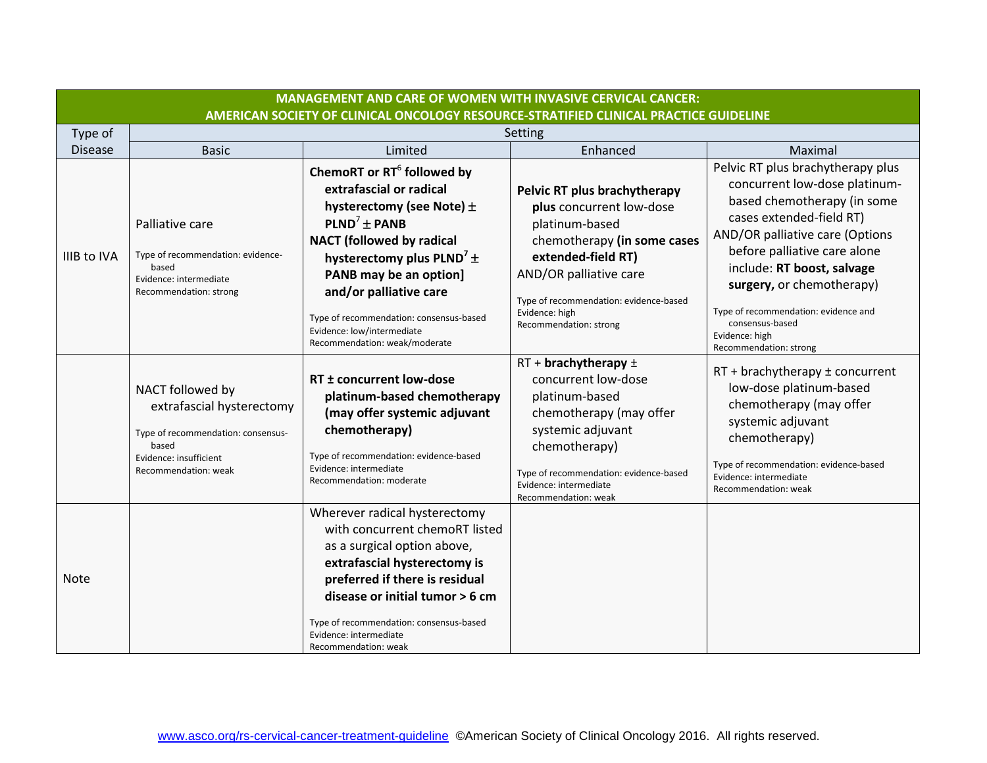|                | <b>MANAGEMENT AND CARE OF WOMEN WITH INVASIVE CERVICAL CANCER:</b>                                                                             |                                                                                                                                                                                                                                                                                                                                                                               |                                                                                                                                                                                                                                                 |                                                                                                                                                                                                                                                                                                                                                                    |  |  |
|----------------|------------------------------------------------------------------------------------------------------------------------------------------------|-------------------------------------------------------------------------------------------------------------------------------------------------------------------------------------------------------------------------------------------------------------------------------------------------------------------------------------------------------------------------------|-------------------------------------------------------------------------------------------------------------------------------------------------------------------------------------------------------------------------------------------------|--------------------------------------------------------------------------------------------------------------------------------------------------------------------------------------------------------------------------------------------------------------------------------------------------------------------------------------------------------------------|--|--|
|                | AMERICAN SOCIETY OF CLINICAL ONCOLOGY RESOURCE-STRATIFIED CLINICAL PRACTICE GUIDELINE                                                          |                                                                                                                                                                                                                                                                                                                                                                               |                                                                                                                                                                                                                                                 |                                                                                                                                                                                                                                                                                                                                                                    |  |  |
| Type of        |                                                                                                                                                |                                                                                                                                                                                                                                                                                                                                                                               | Setting                                                                                                                                                                                                                                         |                                                                                                                                                                                                                                                                                                                                                                    |  |  |
| <b>Disease</b> | <b>Basic</b>                                                                                                                                   | Limited                                                                                                                                                                                                                                                                                                                                                                       | Enhanced                                                                                                                                                                                                                                        | Maximal                                                                                                                                                                                                                                                                                                                                                            |  |  |
| IIIB to IVA    | Palliative care<br>Type of recommendation: evidence-<br>based<br>Evidence: intermediate<br>Recommendation: strong                              | ChemoRT or RT <sup>6</sup> followed by<br>extrafascial or radical<br>hysterectomy (see Note) $\pm$<br>PLND <sup>7</sup> ± PANB<br><b>NACT</b> (followed by radical<br>hysterectomy plus PLND <sup>7</sup> $\pm$<br>PANB may be an option]<br>and/or palliative care<br>Type of recommendation: consensus-based<br>Evidence: low/intermediate<br>Recommendation: weak/moderate | Pelvic RT plus brachytherapy<br>plus concurrent low-dose<br>platinum-based<br>chemotherapy (in some cases<br>extended-field RT)<br>AND/OR palliative care<br>Type of recommendation: evidence-based<br>Evidence: high<br>Recommendation: strong | Pelvic RT plus brachytherapy plus<br>concurrent low-dose platinum-<br>based chemotherapy (in some<br>cases extended-field RT)<br>AND/OR palliative care (Options<br>before palliative care alone<br>include: RT boost, salvage<br>surgery, or chemotherapy)<br>Type of recommendation: evidence and<br>consensus-based<br>Evidence: high<br>Recommendation: strong |  |  |
|                | NACT followed by<br>extrafascial hysterectomy<br>Type of recommendation: consensus-<br>based<br>Evidence: insufficient<br>Recommendation: weak | RT ± concurrent low-dose<br>platinum-based chemotherapy<br>(may offer systemic adjuvant<br>chemotherapy)<br>Type of recommendation: evidence-based<br>Evidence: intermediate<br>Recommendation: moderate                                                                                                                                                                      | $RT +$ brachytherapy $\pm$<br>concurrent low-dose<br>platinum-based<br>chemotherapy (may offer<br>systemic adjuvant<br>chemotherapy)<br>Type of recommendation: evidence-based<br>Evidence: intermediate<br>Recommendation: weak                | $RT + brachy$ therapy ± concurrent<br>low-dose platinum-based<br>chemotherapy (may offer<br>systemic adjuvant<br>chemotherapy)<br>Type of recommendation: evidence-based<br>Evidence: intermediate<br>Recommendation: weak                                                                                                                                         |  |  |
| <b>Note</b>    |                                                                                                                                                | Wherever radical hysterectomy<br>with concurrent chemoRT listed<br>as a surgical option above,<br>extrafascial hysterectomy is<br>preferred if there is residual<br>disease or initial tumor > 6 cm<br>Type of recommendation: consensus-based<br>Evidence: intermediate<br>Recommendation: weak                                                                              |                                                                                                                                                                                                                                                 |                                                                                                                                                                                                                                                                                                                                                                    |  |  |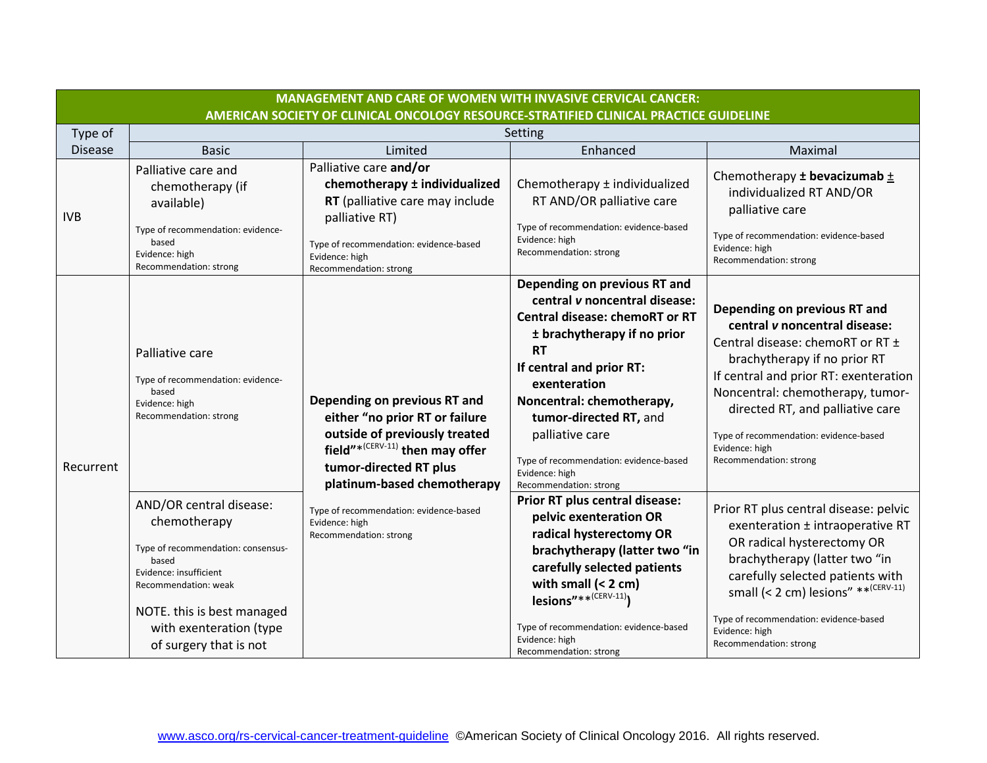|                | <b>MANAGEMENT AND CARE OF WOMEN WITH INVASIVE CERVICAL CANCER:</b>                                                                                                                                                          |                                                                                                                                                                                                    |                                                                                                                                                                                                                                                                                                                                                                |                                                                                                                                                                                                                                                                                                                                          |
|----------------|-----------------------------------------------------------------------------------------------------------------------------------------------------------------------------------------------------------------------------|----------------------------------------------------------------------------------------------------------------------------------------------------------------------------------------------------|----------------------------------------------------------------------------------------------------------------------------------------------------------------------------------------------------------------------------------------------------------------------------------------------------------------------------------------------------------------|------------------------------------------------------------------------------------------------------------------------------------------------------------------------------------------------------------------------------------------------------------------------------------------------------------------------------------------|
|                |                                                                                                                                                                                                                             | AMERICAN SOCIETY OF CLINICAL ONCOLOGY RESOURCE-STRATIFIED CLINICAL PRACTICE GUIDELINE                                                                                                              |                                                                                                                                                                                                                                                                                                                                                                |                                                                                                                                                                                                                                                                                                                                          |
| Type of        |                                                                                                                                                                                                                             |                                                                                                                                                                                                    | Setting                                                                                                                                                                                                                                                                                                                                                        |                                                                                                                                                                                                                                                                                                                                          |
| <b>Disease</b> | <b>Basic</b>                                                                                                                                                                                                                | Limited                                                                                                                                                                                            | Enhanced                                                                                                                                                                                                                                                                                                                                                       | Maximal                                                                                                                                                                                                                                                                                                                                  |
| <b>IVB</b>     | Palliative care and<br>chemotherapy (if<br>available)<br>Type of recommendation: evidence-<br>based<br>Evidence: high<br>Recommendation: strong                                                                             | Palliative care and/or<br>chemotherapy ± individualized<br>RT (palliative care may include<br>palliative RT)<br>Type of recommendation: evidence-based<br>Evidence: high<br>Recommendation: strong | Chemotherapy ± individualized<br>RT AND/OR palliative care<br>Type of recommendation: evidence-based<br>Evidence: high<br>Recommendation: strong                                                                                                                                                                                                               | Chemotherapy $\pm$ bevacizumab $\pm$<br>individualized RT AND/OR<br>palliative care<br>Type of recommendation: evidence-based<br>Evidence: high<br>Recommendation: strong                                                                                                                                                                |
| Recurrent      | Palliative care<br>Type of recommendation: evidence-<br>based<br>Evidence: high<br>Recommendation: strong                                                                                                                   | Depending on previous RT and<br>either "no prior RT or failure<br>outside of previously treated<br>field"* $(CERV-11)$ then may offer<br>tumor-directed RT plus<br>platinum-based chemotherapy     | Depending on previous RT and<br>central v noncentral disease:<br><b>Central disease: chemoRT or RT</b><br>± brachytherapy if no prior<br><b>RT</b><br>If central and prior RT:<br>exenteration<br>Noncentral: chemotherapy,<br>tumor-directed RT, and<br>palliative care<br>Type of recommendation: evidence-based<br>Evidence: high<br>Recommendation: strong | Depending on previous RT and<br>central v noncentral disease:<br>Central disease: chemoRT or RT ±<br>brachytherapy if no prior RT<br>If central and prior RT: exenteration<br>Noncentral: chemotherapy, tumor-<br>directed RT, and palliative care<br>Type of recommendation: evidence-based<br>Evidence: high<br>Recommendation: strong |
|                | AND/OR central disease:<br>chemotherapy<br>Type of recommendation: consensus-<br>based<br>Evidence: insufficient<br>Recommendation: weak<br>NOTE. this is best managed<br>with exenteration (type<br>of surgery that is not | Type of recommendation: evidence-based<br>Evidence: high<br>Recommendation: strong                                                                                                                 | Prior RT plus central disease:<br>pelvic exenteration OR<br>radical hysterectomy OR<br>brachytherapy (latter two "in<br>carefully selected patients<br>with small $(2 \text{ cm})$<br>lesions"** $(CERV-11)$<br>Type of recommendation: evidence-based<br>Evidence: high<br>Recommendation: strong                                                             | Prior RT plus central disease: pelvic<br>exenteration ± intraoperative RT<br>OR radical hysterectomy OR<br>brachytherapy (latter two "in<br>carefully selected patients with<br>small (< 2 cm) lesions" ** <sup>(CERV-11)</sup><br>Type of recommendation: evidence-based<br>Evidence: high<br>Recommendation: strong                    |